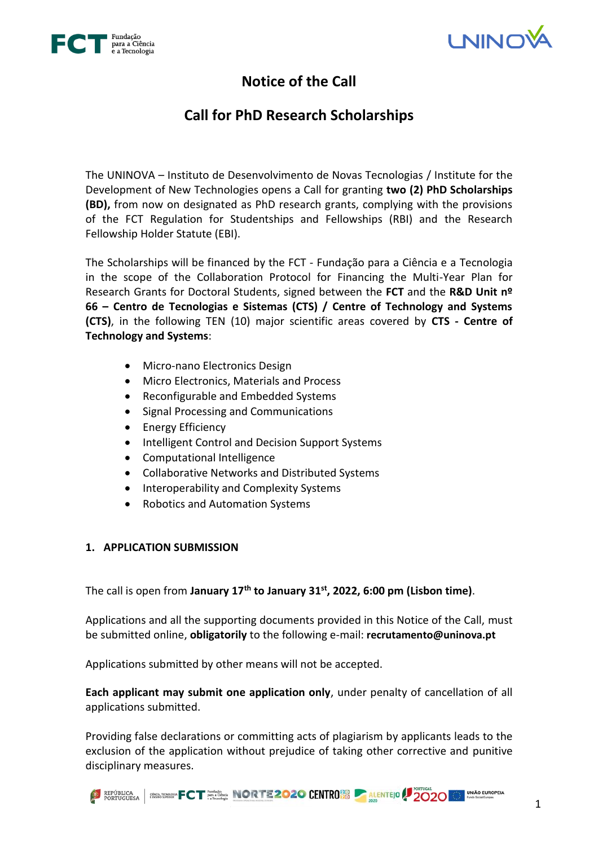



# **Notice of the Call**

# **Call for PhD Research Scholarships**

The UNINOVA – Instituto de Desenvolvimento de Novas Tecnologias / Institute for the Development of New Technologies opens a Call for granting **two (2) PhD Scholarships (BD),** from now on designated as PhD research grants, complying with the provisions of the FCT Regulation for Studentships and Fellowships (RBI) and the Research Fellowship Holder Statute (EBI).

The Scholarships will be financed by the FCT - Fundação para a Ciência e a Tecnologia in the scope of the Collaboration Protocol for Financing the Multi-Year Plan for Research Grants for Doctoral Students, signed between the **FCT** and the **R&D Unit nº 66 – Centro de Tecnologias e Sistemas (CTS) / Centre of Technology and Systems (CTS)**, in the following TEN (10) major scientific areas covered by **CTS - Centre of Technology and Systems**:

- Micro-nano Electronics Design
- Micro Electronics, Materials and Process
- Reconfigurable and Embedded Systems
- Signal Processing and Communications
- Energy Efficiency
- Intelligent Control and Decision Support Systems
- Computational Intelligence
- Collaborative Networks and Distributed Systems
- Interoperability and Complexity Systems
- Robotics and Automation Systems

# **1. APPLICATION SUBMISSION**

The call is open from **January 17th to January 31st , 2022, 6:00 pm (Lisbon time)**.

Applications and all the supporting documents provided in this Notice of the Call, must be submitted online, **obligatorily** to the following e-mail: **recrutamento@uninova.pt**

Applications submitted by other means will not be accepted.

**Each applicant may submit one application only**, under penalty of cancellation of all applications submitted.

Providing false declarations or committing acts of plagiarism by applicants leads to the exclusion of the application without prejudice of taking other corrective and punitive disciplinary measures.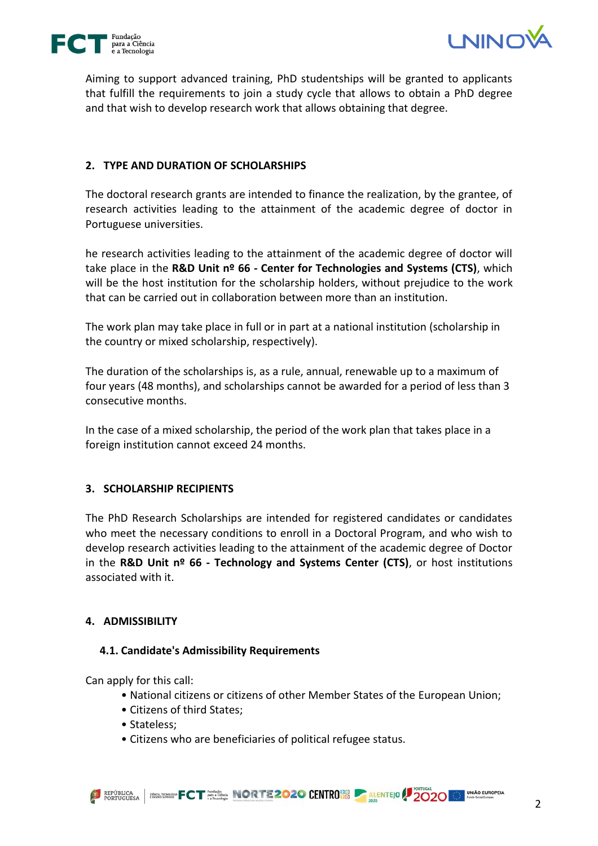



Aiming to support advanced training, PhD studentships will be granted to applicants that fulfill the requirements to join a study cycle that allows to obtain a PhD degree and that wish to develop research work that allows obtaining that degree.

# **2. TYPE AND DURATION OF SCHOLARSHIPS**

The doctoral research grants are intended to finance the realization, by the grantee, of research activities leading to the attainment of the academic degree of doctor in Portuguese universities.

he research activities leading to the attainment of the academic degree of doctor will take place in the **R&D Unit nº 66 - Center for Technologies and Systems (CTS)**, which will be the host institution for the scholarship holders, without prejudice to the work that can be carried out in collaboration between more than an institution.

The work plan may take place in full or in part at a national institution (scholarship in the country or mixed scholarship, respectively).

The duration of the scholarships is, as a rule, annual, renewable up to a maximum of four years (48 months), and scholarships cannot be awarded for a period of less than 3 consecutive months.

In the case of a mixed scholarship, the period of the work plan that takes place in a foreign institution cannot exceed 24 months.

# **3. SCHOLARSHIP RECIPIENTS**

The PhD Research Scholarships are intended for registered candidates or candidates who meet the necessary conditions to enroll in a Doctoral Program, and who wish to develop research activities leading to the attainment of the academic degree of Doctor in the **R&D Unit nº 66 - Technology and Systems Center (CTS)**, or host institutions associated with it.

# **4. ADMISSIBILITY**

# **4.1. Candidate's Admissibility Requirements**

Can apply for this call:

- National citizens or citizens of other Member States of the European Union;
- Citizens of third States;
- Stateless;
- Citizens who are beneficiaries of political refugee status.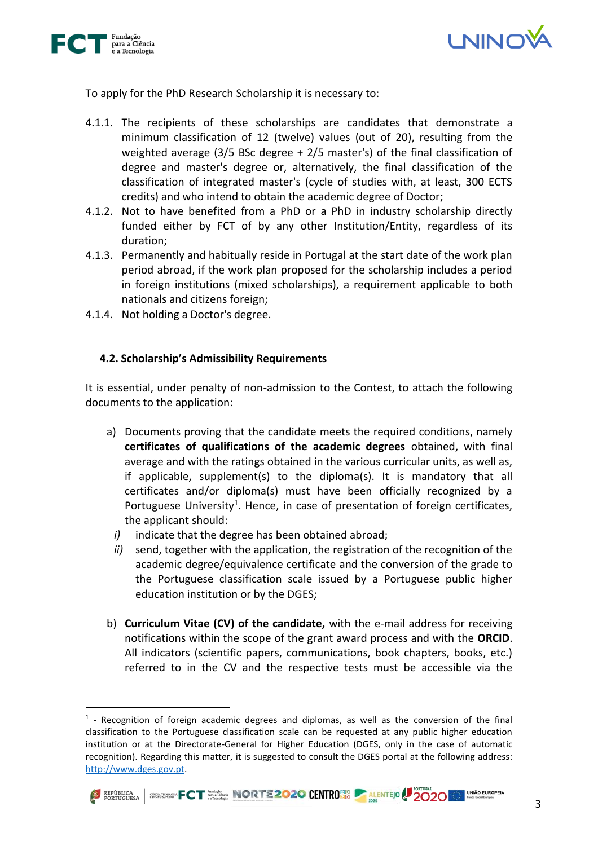



To apply for the PhD Research Scholarship it is necessary to:

- 4.1.1. The recipients of these scholarships are candidates that demonstrate a minimum classification of 12 (twelve) values (out of 20), resulting from the weighted average (3/5 BSc degree + 2/5 master's) of the final classification of degree and master's degree or, alternatively, the final classification of the classification of integrated master's (cycle of studies with, at least, 300 ECTS credits) and who intend to obtain the academic degree of Doctor;
- 4.1.2. Not to have benefited from a PhD or a PhD in industry scholarship directly funded either by FCT of by any other Institution/Entity, regardless of its duration;
- 4.1.3. Permanently and habitually reside in Portugal at the start date of the work plan period abroad, if the work plan proposed for the scholarship includes a period in foreign institutions (mixed scholarships), a requirement applicable to both nationals and citizens foreign;
- 4.1.4. Not holding a Doctor's degree.

# **4.2. Scholarship's Admissibility Requirements**

It is essential, under penalty of non-admission to the Contest, to attach the following documents to the application:

- a) Documents proving that the candidate meets the required conditions, namely **certificates of qualifications of the academic degrees** obtained, with final average and with the ratings obtained in the various curricular units, as well as, if applicable, supplement(s) to the diploma(s). It is mandatory that all certificates and/or diploma(s) must have been officially recognized by a Portuguese University<sup>1</sup>. Hence, in case of presentation of foreign certificates, the applicant should:
	- *i)* indicate that the degree has been obtained abroad;
	- *ii)* send, together with the application, the registration of the recognition of the academic degree/equivalence certificate and the conversion of the grade to the Portuguese classification scale issued by a Portuguese public higher education institution or by the DGES;
- b) **Curriculum Vitae (CV) of the candidate,** with the e-mail address for receiving notifications within the scope of the grant award process and with the **ORCID**. All indicators (scientific papers, communications, book chapters, books, etc.) referred to in the CV and the respective tests must be accessible via the

<sup>&</sup>lt;sup>1</sup> - Recognition of foreign academic degrees and diplomas, as well as the conversion of the final classification to the Portuguese classification scale can be requested at any public higher education institution or at the Directorate-General for Higher Education (DGES, only in the case of automatic recognition). Regarding this matter, it is suggested to consult the DGES portal at the following address: [http://www.dges.gov.pt.](http://www.dges.gov.pt/)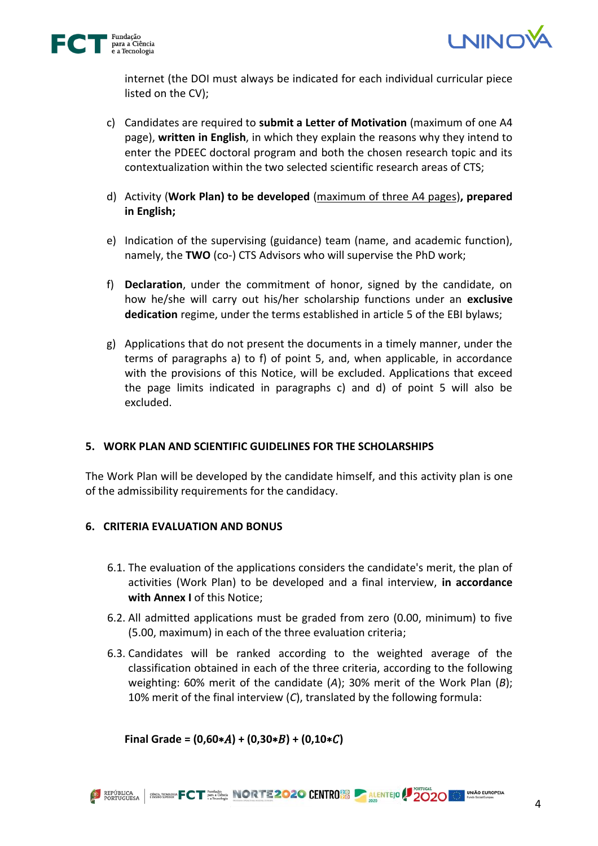



internet (the DOI must always be indicated for each individual curricular piece listed on the CV);

- c) Candidates are required to **submit a Letter of Motivation** (maximum of one A4 page), **written in English**, in which they explain the reasons why they intend to enter the PDEEC doctoral program and both the chosen research topic and its contextualization within the two selected scientific research areas of CTS;
- d) Activity (**Work Plan) to be developed** (maximum of three A4 pages)**, prepared in English;**
- e) Indication of the supervising (guidance) team (name, and academic function), namely, the **TWO** (co-) CTS Advisors who will supervise the PhD work;
- f) **Declaration**, under the commitment of honor, signed by the candidate, on how he/she will carry out his/her scholarship functions under an **exclusive dedication** regime, under the terms established in article 5 of the EBI bylaws;
- g) Applications that do not present the documents in a timely manner, under the terms of paragraphs a) to f) of point 5, and, when applicable, in accordance with the provisions of this Notice, will be excluded. Applications that exceed the page limits indicated in paragraphs c) and d) of point 5 will also be excluded.

# **5. WORK PLAN AND SCIENTIFIC GUIDELINES FOR THE SCHOLARSHIPS**

The Work Plan will be developed by the candidate himself, and this activity plan is one of the admissibility requirements for the candidacy.

# **6. CRITERIA EVALUATION AND BONUS**

- 6.1. The evaluation of the applications considers the candidate's merit, the plan of activities (Work Plan) to be developed and a final interview, **in accordance with Annex I** of this Notice;
- 6.2. All admitted applications must be graded from zero (0.00, minimum) to five (5.00, maximum) in each of the three evaluation criteria;
- 6.3. Candidates will be ranked according to the weighted average of the classification obtained in each of the three criteria, according to the following weighting: 60% merit of the candidate (*A*); 30% merit of the Work Plan (*B*); 10% merit of the final interview (*C*), translated by the following formula:

 $Final Grade = (0,60*A) + (0,30*B) + (0,10*C)$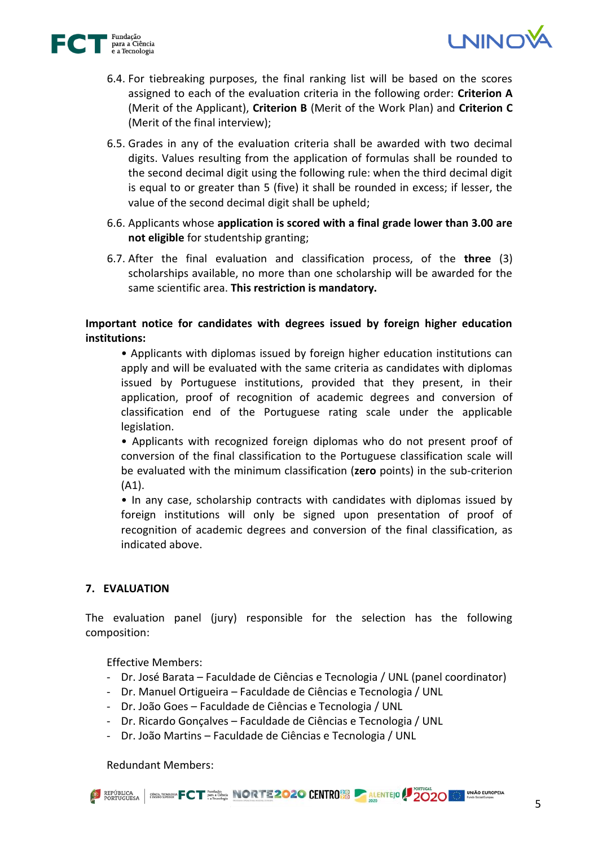



- 6.4. For tiebreaking purposes, the final ranking list will be based on the scores assigned to each of the evaluation criteria in the following order: **Criterion A** (Merit of the Applicant), **Criterion B** (Merit of the Work Plan) and **Criterion C** (Merit of the final interview);
- 6.5. Grades in any of the evaluation criteria shall be awarded with two decimal digits. Values resulting from the application of formulas shall be rounded to the second decimal digit using the following rule: when the third decimal digit is equal to or greater than 5 (five) it shall be rounded in excess; if lesser, the value of the second decimal digit shall be upheld;
- 6.6. Applicants whose **application is scored with a final grade lower than 3.00 are not eligible** for studentship granting;
- 6.7. After the final evaluation and classification process, of the **three** (3) scholarships available, no more than one scholarship will be awarded for the same scientific area. **This restriction is mandatory.**

# **Important notice for candidates with degrees issued by foreign higher education institutions:**

• Applicants with diplomas issued by foreign higher education institutions can apply and will be evaluated with the same criteria as candidates with diplomas issued by Portuguese institutions, provided that they present, in their application, proof of recognition of academic degrees and conversion of classification end of the Portuguese rating scale under the applicable legislation.

• Applicants with recognized foreign diplomas who do not present proof of conversion of the final classification to the Portuguese classification scale will be evaluated with the minimum classification (**zero** points) in the sub-criterion (A1).

• In any case, scholarship contracts with candidates with diplomas issued by foreign institutions will only be signed upon presentation of proof of recognition of academic degrees and conversion of the final classification, as indicated above.

# **7. EVALUATION**

The evaluation panel (jury) responsible for the selection has the following composition:

Effective Members:

- Dr. José Barata Faculdade de Ciências e Tecnologia / UNL (panel coordinator)
- Dr. Manuel Ortigueira Faculdade de Ciências e Tecnologia / UNL
- Dr. João Goes Faculdade de Ciências e Tecnologia / UNL
- Dr. Ricardo Gonçalves Faculdade de Ciências e Tecnologia / UNL
- Dr. João Martins Faculdade de Ciências e Tecnologia / UNL

Redundant Members: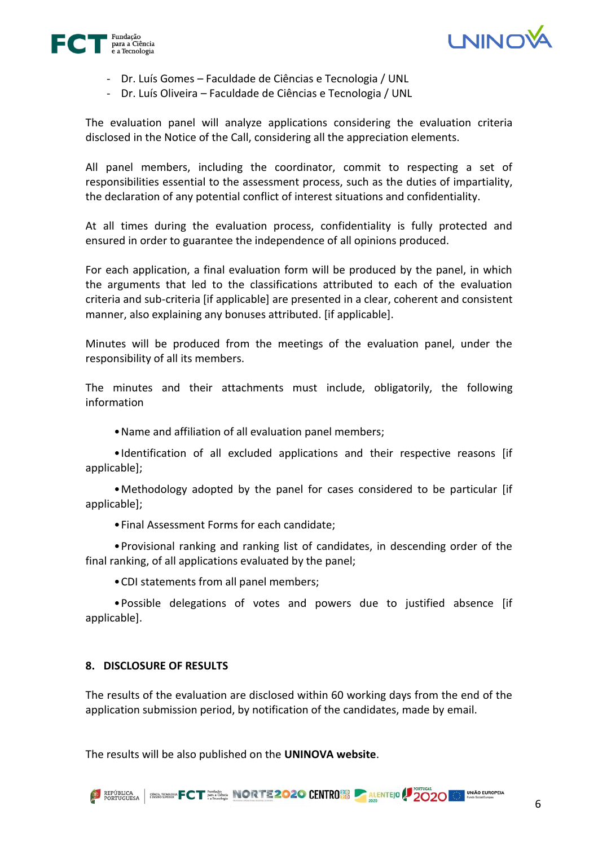



- Dr. Luís Gomes Faculdade de Ciências e Tecnologia / UNL
- Dr. Luís Oliveira Faculdade de Ciências e Tecnologia / UNL

The evaluation panel will analyze applications considering the evaluation criteria disclosed in the Notice of the Call, considering all the appreciation elements.

All panel members, including the coordinator, commit to respecting a set of responsibilities essential to the assessment process, such as the duties of impartiality, the declaration of any potential conflict of interest situations and confidentiality.

At all times during the evaluation process, confidentiality is fully protected and ensured in order to guarantee the independence of all opinions produced.

For each application, a final evaluation form will be produced by the panel, in which the arguments that led to the classifications attributed to each of the evaluation criteria and sub-criteria [if applicable] are presented in a clear, coherent and consistent manner, also explaining any bonuses attributed. [if applicable].

Minutes will be produced from the meetings of the evaluation panel, under the responsibility of all its members.

The minutes and their attachments must include, obligatorily, the following information

•Name and affiliation of all evaluation panel members;

•Identification of all excluded applications and their respective reasons [if applicable];

•Methodology adopted by the panel for cases considered to be particular [if applicable];

•Final Assessment Forms for each candidate;

•Provisional ranking and ranking list of candidates, in descending order of the final ranking, of all applications evaluated by the panel;

•CDI statements from all panel members;

•Possible delegations of votes and powers due to justified absence [if applicable].

#### **8. DISCLOSURE OF RESULTS**

The results of the evaluation are disclosed within 60 working days from the end of the application submission period, by notification of the candidates, made by email.

The results will be also published on the **UNINOVA website**.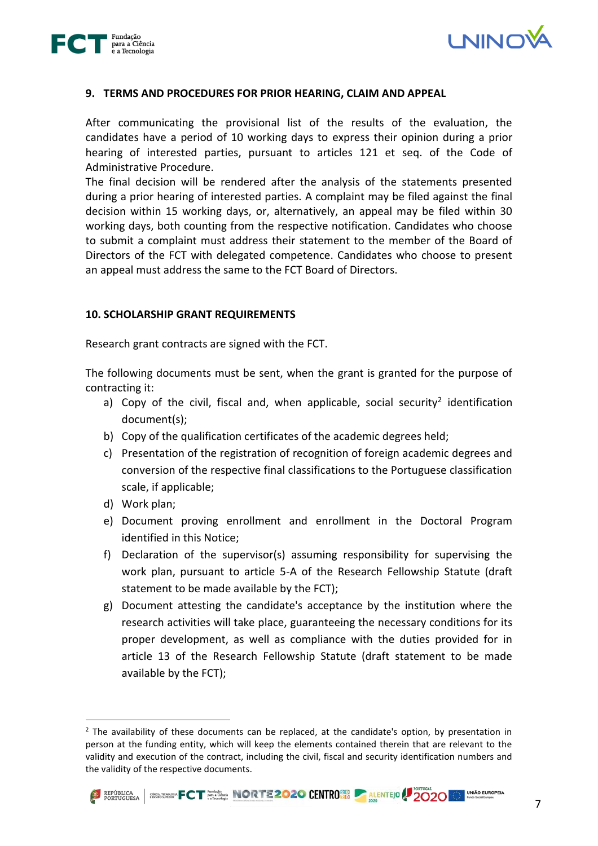



#### **9. TERMS AND PROCEDURES FOR PRIOR HEARING, CLAIM AND APPEAL**

After communicating the provisional list of the results of the evaluation, the candidates have a period of 10 working days to express their opinion during a prior hearing of interested parties, pursuant to articles 121 et seq. of the Code of Administrative Procedure.

The final decision will be rendered after the analysis of the statements presented during a prior hearing of interested parties. A complaint may be filed against the final decision within 15 working days, or, alternatively, an appeal may be filed within 30 working days, both counting from the respective notification. Candidates who choose to submit a complaint must address their statement to the member of the Board of Directors of the FCT with delegated competence. Candidates who choose to present an appeal must address the same to the FCT Board of Directors.

#### **10. SCHOLARSHIP GRANT REQUIREMENTS**

Research grant contracts are signed with the FCT.

The following documents must be sent, when the grant is granted for the purpose of contracting it:

- a) Copy of the civil, fiscal and, when applicable, social security<sup>2</sup> identification document(s);
- b) Copy of the qualification certificates of the academic degrees held;
- c) Presentation of the registration of recognition of foreign academic degrees and conversion of the respective final classifications to the Portuguese classification scale, if applicable;
- d) Work plan;
- e) Document proving enrollment and enrollment in the Doctoral Program identified in this Notice;
- f) Declaration of the supervisor(s) assuming responsibility for supervising the work plan, pursuant to article 5-A of the Research Fellowship Statute (draft statement to be made available by the FCT);
- g) Document attesting the candidate's acceptance by the institution where the research activities will take place, guaranteeing the necessary conditions for its proper development, as well as compliance with the duties provided for in article 13 of the Research Fellowship Statute (draft statement to be made available by the FCT);

<sup>&</sup>lt;sup>2</sup> The availability of these documents can be replaced, at the candidate's option, by presentation in person at the funding entity, which will keep the elements contained therein that are relevant to the validity and execution of the contract, including the civil, fiscal and security identification numbers and the validity of the respective documents.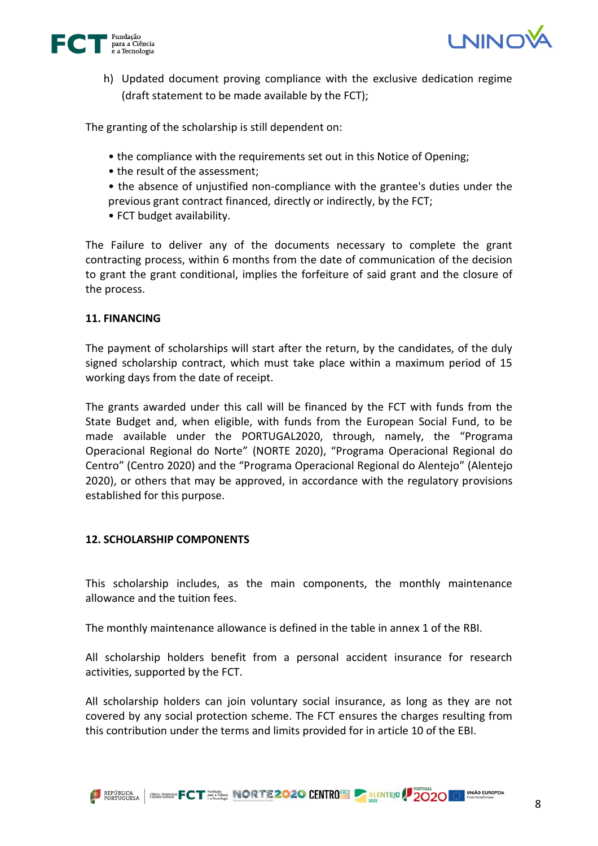



h) Updated document proving compliance with the exclusive dedication regime (draft statement to be made available by the FCT);

The granting of the scholarship is still dependent on:

- the compliance with the requirements set out in this Notice of Opening;
- the result of the assessment;
- the absence of unjustified non-compliance with the grantee's duties under the previous grant contract financed, directly or indirectly, by the FCT;
- FCT budget availability.

The Failure to deliver any of the documents necessary to complete the grant contracting process, within 6 months from the date of communication of the decision to grant the grant conditional, implies the forfeiture of said grant and the closure of the process.

# **11. FINANCING**

The payment of scholarships will start after the return, by the candidates, of the duly signed scholarship contract, which must take place within a maximum period of 15 working days from the date of receipt.

The grants awarded under this call will be financed by the FCT with funds from the State Budget and, when eligible, with funds from the European Social Fund, to be made available under the PORTUGAL2020, through, namely, the "Programa Operacional Regional do Norte" (NORTE 2020), "Programa Operacional Regional do Centro" (Centro 2020) and the "Programa Operacional Regional do Alentejo" (Alentejo 2020), or others that may be approved, in accordance with the regulatory provisions established for this purpose.

# **12. SCHOLARSHIP COMPONENTS**

This scholarship includes, as the main components, the monthly maintenance allowance and the tuition fees.

The monthly maintenance allowance is defined in the table in annex 1 of the RBI.

All scholarship holders benefit from a personal accident insurance for research activities, supported by the FCT.

All scholarship holders can join voluntary social insurance, as long as they are not covered by any social protection scheme. The FCT ensures the charges resulting from this contribution under the terms and limits provided for in article 10 of the EBI.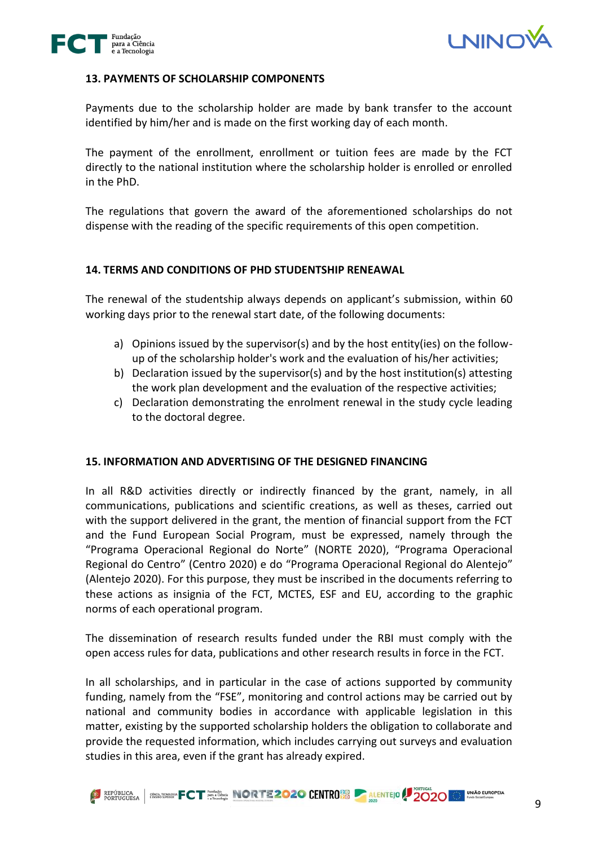



#### **13. PAYMENTS OF SCHOLARSHIP COMPONENTS**

Payments due to the scholarship holder are made by bank transfer to the account identified by him/her and is made on the first working day of each month.

The payment of the enrollment, enrollment or tuition fees are made by the FCT directly to the national institution where the scholarship holder is enrolled or enrolled in the PhD.

The regulations that govern the award of the aforementioned scholarships do not dispense with the reading of the specific requirements of this open competition.

### **14. TERMS AND CONDITIONS OF PHD STUDENTSHIP RENEAWAL**

The renewal of the studentship always depends on applicant's submission, within 60 working days prior to the renewal start date, of the following documents:

- a) Opinions issued by the supervisor(s) and by the host entity(ies) on the followup of the scholarship holder's work and the evaluation of his/her activities;
- b) Declaration issued by the supervisor(s) and by the host institution(s) attesting the work plan development and the evaluation of the respective activities;
- c) Declaration demonstrating the enrolment renewal in the study cycle leading to the doctoral degree.

#### **15. INFORMATION AND ADVERTISING OF THE DESIGNED FINANCING**

In all R&D activities directly or indirectly financed by the grant, namely, in all communications, publications and scientific creations, as well as theses, carried out with the support delivered in the grant, the mention of financial support from the FCT and the Fund European Social Program, must be expressed, namely through the "Programa Operacional Regional do Norte" (NORTE 2020), "Programa Operacional Regional do Centro" (Centro 2020) e do "Programa Operacional Regional do Alentejo" (Alentejo 2020). For this purpose, they must be inscribed in the documents referring to these actions as insignia of the FCT, MCTES, ESF and EU, according to the graphic norms of each operational program.

The dissemination of research results funded under the RBI must comply with the open access rules for data, publications and other research results in force in the FCT.

In all scholarships, and in particular in the case of actions supported by community funding, namely from the "FSE", monitoring and control actions may be carried out by national and community bodies in accordance with applicable legislation in this matter, existing by the supported scholarship holders the obligation to collaborate and provide the requested information, which includes carrying out surveys and evaluation studies in this area, even if the grant has already expired.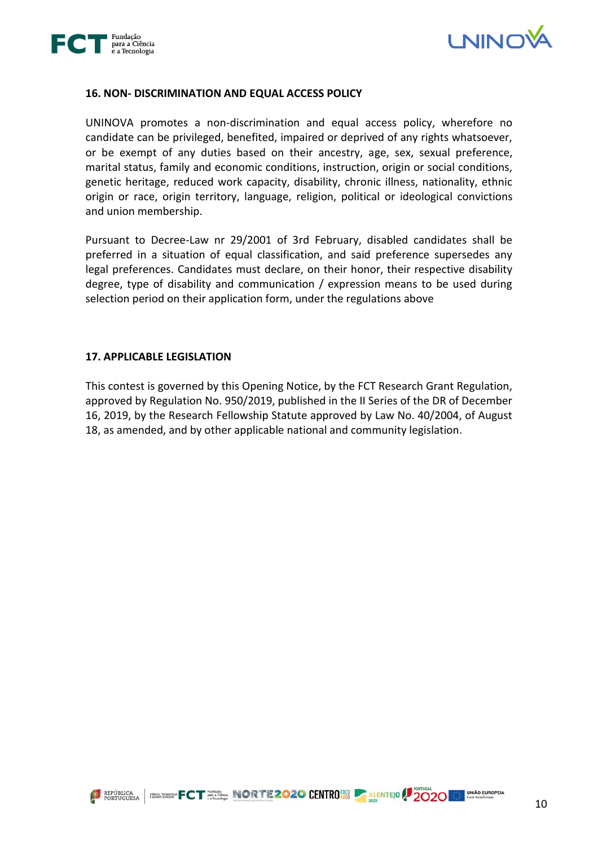



#### **16. NON- DISCRIMINATION AND EQUAL ACCESS POLICY**

UNINOVA promotes a non-discrimination and equal access policy, wherefore no candidate can be privileged, benefited, impaired or deprived of any rights whatsoever, or be exempt of any duties based on their ancestry, age, sex, sexual preference, marital status, family and economic conditions, instruction, origin or social conditions, genetic heritage, reduced work capacity, disability, chronic illness, nationality, ethnic origin or race, origin territory, language, religion, political or ideological convictions and union membership.

Pursuant to Decree-Law nr 29/2001 of 3rd February, disabled candidates shall be preferred in a situation of equal classification, and said preference supersedes any legal preferences. Candidates must declare, on their honor, their respective disability degree, type of disability and communication / expression means to be used during selection period on their application form, under the regulations above

#### **17. APPLICABLE LEGISLATION**

This contest is governed by this Opening Notice, by the FCT Research Grant Regulation, approved by Regulation No. 950/2019, published in the II Series of the DR of December 16, 2019, by the Research Fellowship Statute approved by Law No. 40/2004, of August 18, as amended, and by other applicable national and community legislation.

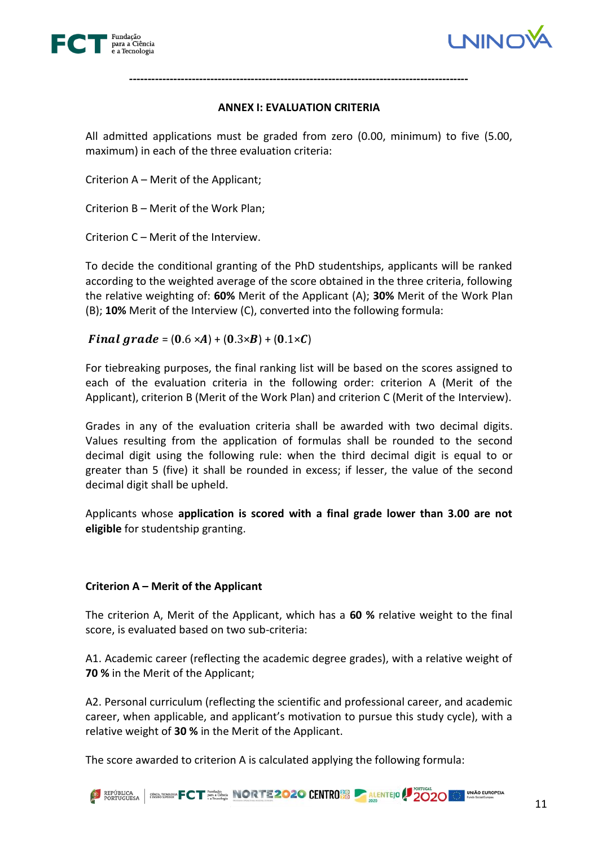



## **ANNEX I: EVALUATION CRITERIA**

**--------------------------------------------------------------------------------------------**

All admitted applications must be graded from zero (0.00, minimum) to five (5.00, maximum) in each of the three evaluation criteria:

Criterion A – Merit of the Applicant;

Criterion B – Merit of the Work Plan;

Criterion C – Merit of the Interview.

To decide the conditional granting of the PhD studentships, applicants will be ranked according to the weighted average of the score obtained in the three criteria, following the relative weighting of: **60%** Merit of the Applicant (A); **30%** Merit of the Work Plan (B); **10%** Merit of the Interview (C), converted into the following formula:

Final grade =  $(0.6 \times A) + (0.3 \times B) + (0.1 \times C)$ 

For tiebreaking purposes, the final ranking list will be based on the scores assigned to each of the evaluation criteria in the following order: criterion A (Merit of the Applicant), criterion B (Merit of the Work Plan) and criterion C (Merit of the Interview).

Grades in any of the evaluation criteria shall be awarded with two decimal digits. Values resulting from the application of formulas shall be rounded to the second decimal digit using the following rule: when the third decimal digit is equal to or greater than 5 (five) it shall be rounded in excess; if lesser, the value of the second decimal digit shall be upheld.

Applicants whose **application is scored with a final grade lower than 3.00 are not eligible** for studentship granting.

# **Criterion A – Merit of the Applicant**

The criterion A, Merit of the Applicant, which has a **60 %** relative weight to the final score, is evaluated based on two sub-criteria:

A1. Academic career (reflecting the academic degree grades), with a relative weight of **70 %** in the Merit of the Applicant;

A2. Personal curriculum (reflecting the scientific and professional career, and academic career, when applicable, and applicant's motivation to pursue this study cycle), with a relative weight of **30 %** in the Merit of the Applicant.

The score awarded to criterion A is calculated applying the following formula: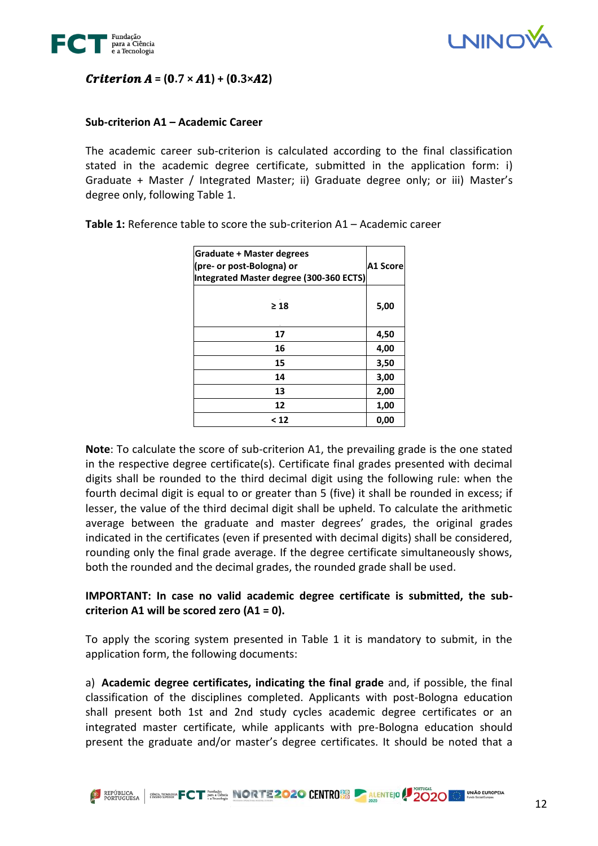



# $$

## **Sub-criterion A1 – Academic Career**

The academic career sub-criterion is calculated according to the final classification stated in the academic degree certificate, submitted in the application form: i) Graduate + Master / Integrated Master; ii) Graduate degree only; or iii) Master's degree only, following Table 1.

| <b>Graduate + Master degrees</b><br>(pre- or post-Bologna) or<br>Integrated Master degree (300-360 ECTS) | <b>A1 Score</b> |
|----------------------------------------------------------------------------------------------------------|-----------------|
| $\geq 18$                                                                                                | 5,00            |
| 17                                                                                                       | 4,50            |
| 16                                                                                                       | 4,00            |
| 15                                                                                                       | 3,50            |
| 14                                                                                                       | 3,00            |
| 13                                                                                                       | 2,00            |
| 12                                                                                                       | 1,00            |
| $<$ 12                                                                                                   | 0,00            |

**Table 1:** Reference table to score the sub-criterion A1 – Academic career

**Note**: To calculate the score of sub-criterion A1, the prevailing grade is the one stated in the respective degree certificate(s). Certificate final grades presented with decimal digits shall be rounded to the third decimal digit using the following rule: when the fourth decimal digit is equal to or greater than 5 (five) it shall be rounded in excess; if lesser, the value of the third decimal digit shall be upheld. To calculate the arithmetic average between the graduate and master degrees' grades, the original grades indicated in the certificates (even if presented with decimal digits) shall be considered, rounding only the final grade average. If the degree certificate simultaneously shows, both the rounded and the decimal grades, the rounded grade shall be used.

# **IMPORTANT: In case no valid academic degree certificate is submitted, the subcriterion A1 will be scored zero (A1 = 0).**

To apply the scoring system presented in Table 1 it is mandatory to submit, in the application form, the following documents:

a) **Academic degree certificates, indicating the final grade** and, if possible, the final classification of the disciplines completed. Applicants with post-Bologna education shall present both 1st and 2nd study cycles academic degree certificates or an integrated master certificate, while applicants with pre-Bologna education should present the graduate and/or master's degree certificates. It should be noted that a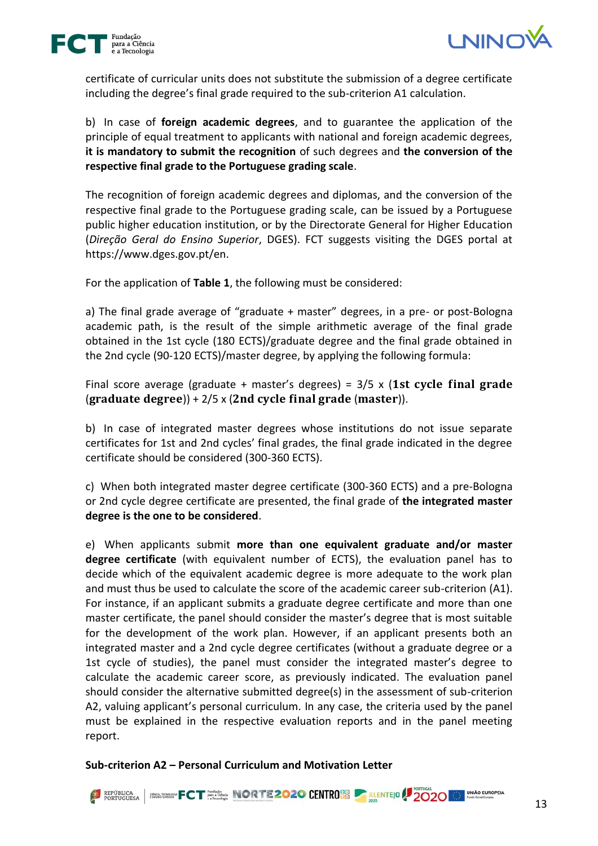



certificate of curricular units does not substitute the submission of a degree certificate including the degree's final grade required to the sub-criterion A1 calculation.

b) In case of **foreign academic degrees**, and to guarantee the application of the principle of equal treatment to applicants with national and foreign academic degrees, **it is mandatory to submit the recognition** of such degrees and **the conversion of the respective final grade to the Portuguese grading scale**.

The recognition of foreign academic degrees and diplomas, and the conversion of the respective final grade to the Portuguese grading scale, can be issued by a Portuguese public higher education institution, or by the Directorate General for Higher Education (*Direção Geral do Ensino Superior*, DGES). FCT suggests visiting the DGES portal at https://www.dges.gov.pt/en.

For the application of **Table 1**, the following must be considered:

a) The final grade average of "graduate + master" degrees, in a pre- or post-Bologna academic path, is the result of the simple arithmetic average of the final grade obtained in the 1st cycle (180 ECTS)/graduate degree and the final grade obtained in the 2nd cycle (90-120 ECTS)/master degree, by applying the following formula:

Final score average (graduate + master's degrees) =  $3/5 \times (1st \text{ cycle final grade})$  $\frac{1}{2}$  (graduate degree)) + 2/5 x (2nd cycle final grade (master)).

b) In case of integrated master degrees whose institutions do not issue separate certificates for 1st and 2nd cycles' final grades, the final grade indicated in the degree certificate should be considered (300-360 ECTS).

c) When both integrated master degree certificate (300-360 ECTS) and a pre-Bologna or 2nd cycle degree certificate are presented, the final grade of **the integrated master degree is the one to be considered**.

e) When applicants submit **more than one equivalent graduate and/or master degree certificate** (with equivalent number of ECTS), the evaluation panel has to decide which of the equivalent academic degree is more adequate to the work plan and must thus be used to calculate the score of the academic career sub-criterion (A1). For instance, if an applicant submits a graduate degree certificate and more than one master certificate, the panel should consider the master's degree that is most suitable for the development of the work plan. However, if an applicant presents both an integrated master and a 2nd cycle degree certificates (without a graduate degree or a 1st cycle of studies), the panel must consider the integrated master's degree to calculate the academic career score, as previously indicated. The evaluation panel should consider the alternative submitted degree(s) in the assessment of sub-criterion A2, valuing applicant's personal curriculum. In any case, the criteria used by the panel must be explained in the respective evaluation reports and in the panel meeting report.

**Sub-criterion A2 – Personal Curriculum and Motivation Letter**

EXPÚBLICA BRANCHICO NORTE 2020 CENTRO BO ALENTEJO 2020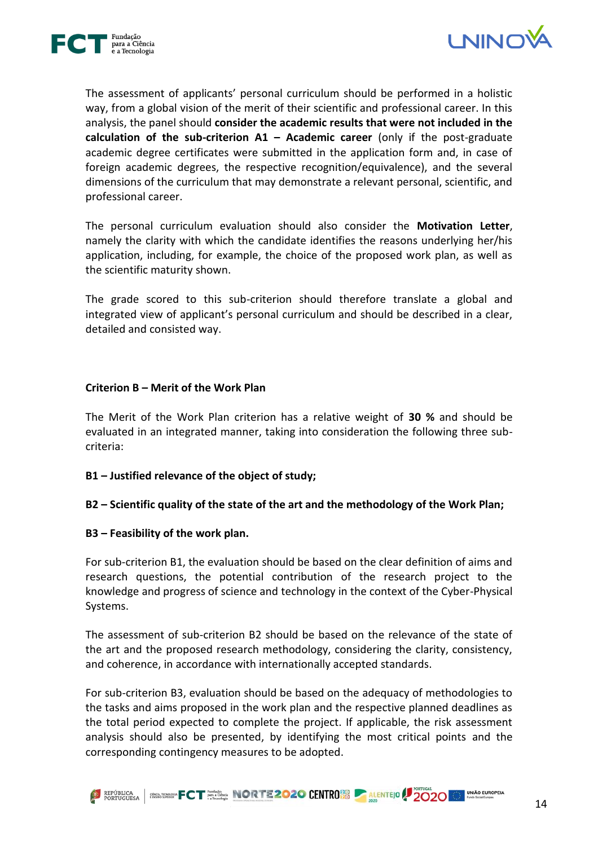



The assessment of applicants' personal curriculum should be performed in a holistic way, from a global vision of the merit of their scientific and professional career. In this analysis, the panel should **consider the academic results that were not included in the calculation of the sub-criterion A1 – Academic career** (only if the post-graduate academic degree certificates were submitted in the application form and, in case of foreign academic degrees, the respective recognition/equivalence), and the several dimensions of the curriculum that may demonstrate a relevant personal, scientific, and professional career.

The personal curriculum evaluation should also consider the **Motivation Letter**, namely the clarity with which the candidate identifies the reasons underlying her/his application, including, for example, the choice of the proposed work plan, as well as the scientific maturity shown.

The grade scored to this sub-criterion should therefore translate a global and integrated view of applicant's personal curriculum and should be described in a clear, detailed and consisted way.

### **Criterion B – Merit of the Work Plan**

The Merit of the Work Plan criterion has a relative weight of **30 %** and should be evaluated in an integrated manner, taking into consideration the following three subcriteria:

**B1 – Justified relevance of the object of study;**

# **B2 – Scientific quality of the state of the art and the methodology of the Work Plan;**

#### **B3 – Feasibility of the work plan.**

For sub-criterion B1, the evaluation should be based on the clear definition of aims and research questions, the potential contribution of the research project to the knowledge and progress of science and technology in the context of the Cyber-Physical Systems.

The assessment of sub-criterion B2 should be based on the relevance of the state of the art and the proposed research methodology, considering the clarity, consistency, and coherence, in accordance with internationally accepted standards.

For sub-criterion B3, evaluation should be based on the adequacy of methodologies to the tasks and aims proposed in the work plan and the respective planned deadlines as the total period expected to complete the project. If applicable, the risk assessment analysis should also be presented, by identifying the most critical points and the corresponding contingency measures to be adopted.